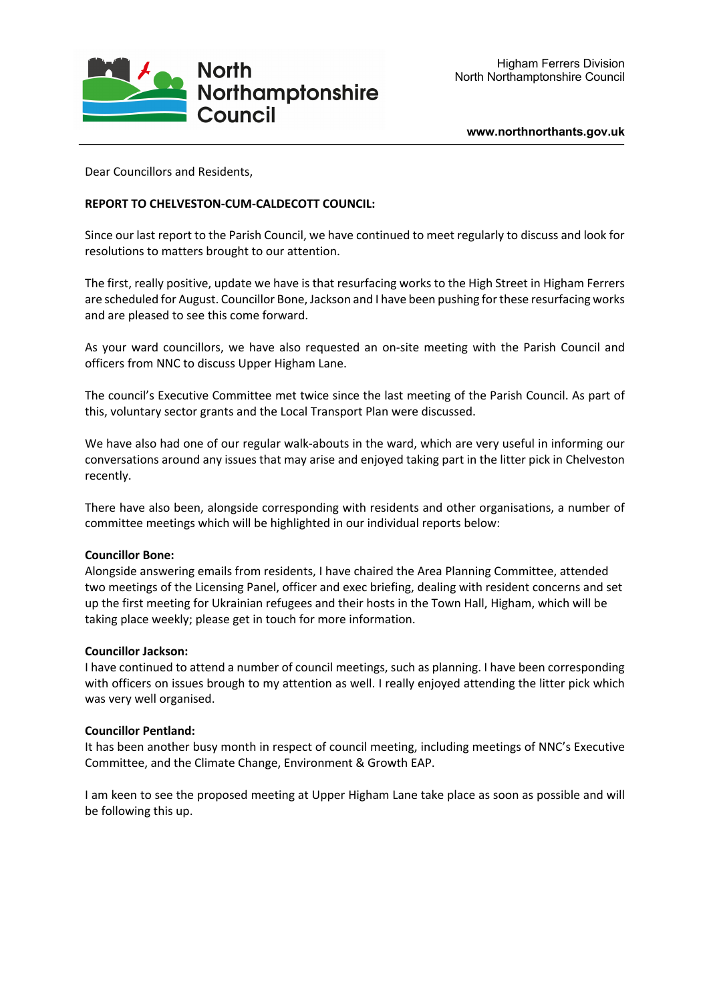

**www.northnorthants.gov.uk**

Dear Councillors and Residents,

# **REPORT TO CHELVESTON-CUM-CALDECOTT COUNCIL:**

Since our last report to the Parish Council, we have continued to meet regularly to discuss and look for resolutions to matters brought to our attention.

The first, really positive, update we have is that resurfacing works to the High Street in Higham Ferrers are scheduled for August. Councillor Bone, Jackson and I have been pushing for these resurfacing works and are pleased to see this come forward.

As your ward councillors, we have also requested an on-site meeting with the Parish Council and officers from NNC to discuss Upper Higham Lane.

The council's Executive Committee met twice since the last meeting of the Parish Council. As part of this, voluntary sector grants and the Local Transport Plan were discussed.

We have also had one of our regular walk-abouts in the ward, which are very useful in informing our conversations around any issues that may arise and enjoyed taking part in the litter pick in Chelveston recently.

There have also been, alongside corresponding with residents and other organisations, a number of committee meetings which will be highlighted in our individual reports below:

## **Councillor Bone:**

Alongside answering emails from residents, I have chaired the Area Planning Committee, attended two meetings of the Licensing Panel, officer and exec briefing, dealing with resident concerns and set up the first meeting for Ukrainian refugees and their hosts in the Town Hall, Higham, which will be taking place weekly; please get in touch for more information.

#### **Councillor Jackson:**

I have continued to attend a number of council meetings, such as planning. I have been corresponding with officers on issues brough to my attention as well. I really enjoyed attending the litter pick which was very well organised.

## **Councillor Pentland:**

It has been another busy month in respect of council meeting, including meetings of NNC's Executive Committee, and the Climate Change, Environment & Growth EAP.

I am keen to see the proposed meeting at Upper Higham Lane take place as soon as possible and will be following this up.